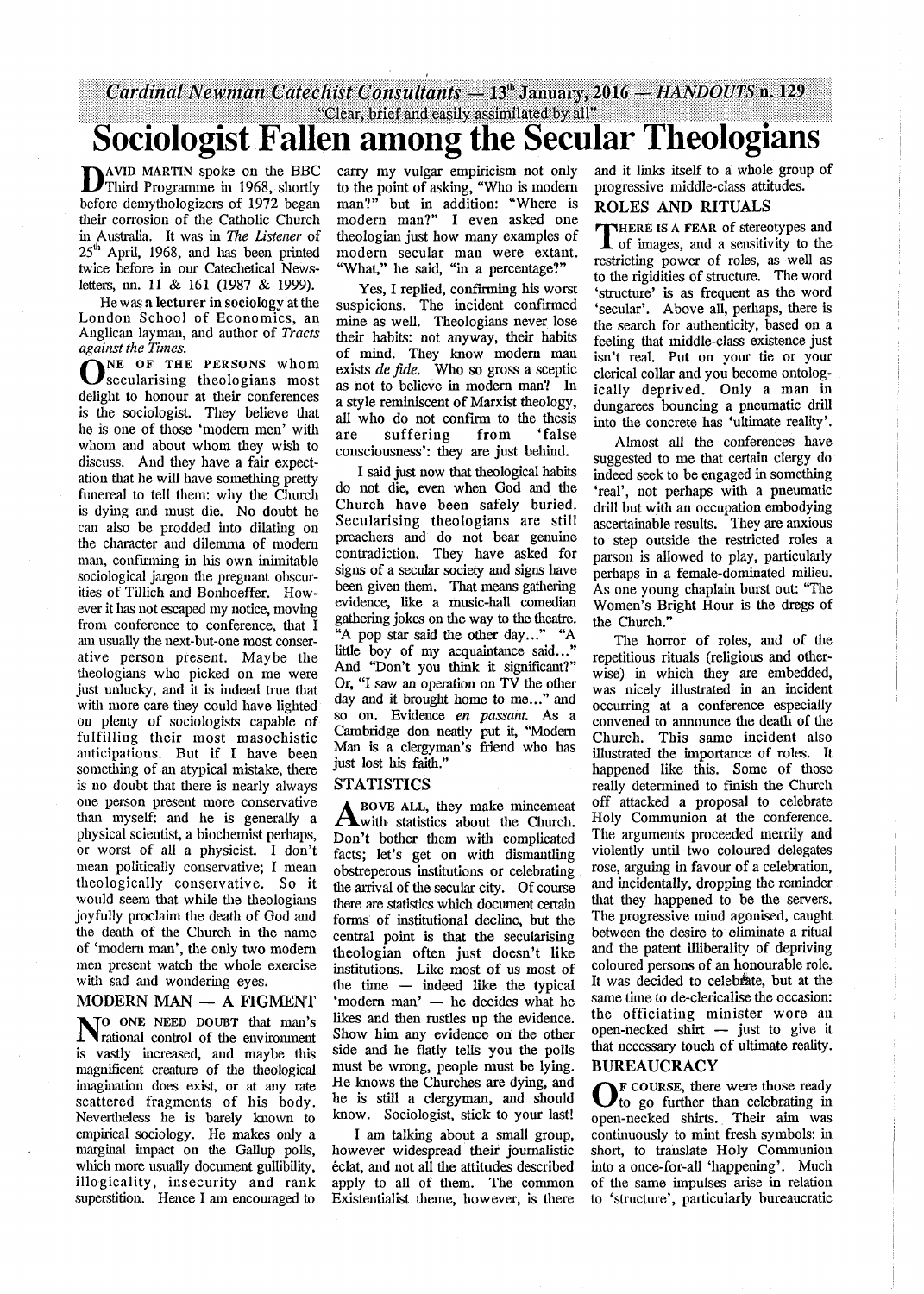# *Cardinal Newman Catechist Consultants* **— IS\* January, 20X6 —** *HANDOUTS* **n. 129** " Clear, brief and easily assimilated by all" **Sociologist Fallen among the Secular Theologians**

**D**AVID MARTIN spoke on the BBC<br>Third Programme in 1968, shortly<br>before demythologizers of 1972 began Third Programme in 1968, shortly before demythologizers of 1972 began their corrosion of the Catholic Church in Australia. It was in *The Listener* of  $25<sup>th</sup>$  April, 1968, and has been printed twice before in our Catechetical Newsletters, nn. 11 & 161 (1987 *Sc* 1999).

He was a lecturer in sociology at the London School of Economics, an Anglican layman, and author of *Tracts against the Times.*

**O**SECULATISING THE PERSONS whom secularising theologians most delight to honour at their conferences is the sociologist. They believe that he is one of those 'modem men' with whom and about whom they wish to discuss. And they have a fair expectation that he will have something pretty funereal to tell them: why the Church is dying and must die. No doubt he can also be prodded into dilating on the character and dilemma of modem man, confirming in his own inimitable sociological jargon the pregnant obscurities of Tillich and Bonhoeffer. However it lias not escaped my notice, moving from conference to conference, that I am usually the next-but-one most conserative person present. Maybe the theologians who picked on me were just unlucky, and it is indeed true that with more care they could have lighted on plenty of sociologists capable of fulfilling their most masochistic anticipations. But if I have been something of an atypical mistake, there is no doubt that there is nearly always one person present more conservative than myself: and he is generally a physical scientist, a biochemist perhaps, or worst of all a physicist. I don't mean politically conservative; I mean theologically conservative. So it would seem that while the theologians joyfully proclaim the death of God and the death of the Church in the name of 'modem man', die only two modem men present watch die whole exercise with sad and wondering eyes.

# **MODERN MAN — A FIGMENT**

**N**<sup>o</sup> ONE NEED DOUBT that man's<br> **N**rational control of the environment rational control of die environment is vastly increased, and maybe diis magnificent creature of die dieological imagination does exist, or at any rate scattered fragments of his body. Nevertheless he is barely known to empirical sociology. He makes only a marginal impact on the Gallup polls, which more usually document gullibility, illogicality, insecurity and rank superstition. Hence I am encouraged to

carry my vulgar empiricism not only to die point of asking, "Who is modem man?" but in addition: "Where is modern man?" I even asked one dieologian just how many examples of modern secular man were extant. "What," he said, "in a percentage?"

Yes, I replied, confirming his worst suspicions. The incident confirmed mine as well. Theologians never lose dieir habits: not anyway, dieir habits of mind. They know modem man exists *de fide*. Who so gross a sceptic as not to believe in modem man? In a style reminiscent of Marxist theology, all who do not confirm to the diesis are suffering from 'false consciousness': they are just behind.

I said just now that theological habits do not die, even when God and die Church have been safely buried. Secularising theologians are still preachers and do not bear genuine contradiction. They have asked for signs of a secular society and signs have been given them. That means gathering evidence, like a music-hall comedian gathering jokes on the way to the theatre. "A pop star said die odier day..." "A little boy of my acquaintance said..." And "Don't you dunk it significant?" Or, "I saw an operation on TV the odier day and it brought home to me..." and so on. Evidence *en passant*. As a Cambridge don neady put it, "Modem Man is a clergyman's friend who has just lost his faith."

#### **STATISTICS**

**A** BOVE ALL, they make mincemeat<br>
Don't bother them with complicated with statistics about the Church. Don't bother them with complicated facts; let's get on with dismantling obstreperous institutions or celebrating the arrival of the secular city. Of course there are statistics which document certain forms of institutional decline, but the central point is that the secularising theologian often just doesn't like institutions. Like most of us most of the time  $-$  indeed like the typical 'modem man' — he decides what he likes and then rustles up the evidence. Show him any evidence on the other side and he flatly tells you the polls must be wrong, people must be lying. He knows the Churches are dying, and he is still a clergyman, and should know. Sociologist, stick to your last!

I am talking about a small group, however widespread dieir journalistic eclat, and not all die attitudes described apply to all of diem. The common Existentialist dieme, however, is diere and it links itself to a whole group of progressive middle-class attitudes.

# **ROLES AND RITUALS**

**THERE IS A FEAR OF STEPSOLUTE AND SET OF START OF START AND THE SET OF START AND SET OF START AND SET OF START AND SET OF START AND SET OF START AND SET OF START AND SET OF START AND SET OF START AND SET OF START AND SET here is a fear** of stereotypes and restricting power of roles, as well as to die rigidities of structure. The word 'structure' is as frequent as the word 'secular'. Above all, perhaps, there is the search for authenticity, based on a feeling diat middle-class existence just isn't real. Put on your tie or your clerical collar and you become ontologically deprived. Only a man in dungarees bouncing a pneumatic drill into die concrete has 'ultimate reality'.

Almost all the conferences have suggested to me that certain clergy do indeed seek to be engaged in something 'real', not perhaps with a pneumatic drill but with an occupation embodying ascertainable results. They are anxious to step outside die restricted roles a parson is allowed to play, particularly perhaps in a female-dominated milieu. As one young chaplain burst out: "The Women's Bright Hour is the dregs of the Church."

The horror of roles, and of the repetitious rituals (religious and odierwise) in which they are embedded, was nicely illustrated in an incident occurring at a conference especially convened to announce the death of die Church. This same incident also illustrated die importance of roles. It happened like this. Some of those really determined to finish the Church off attacked a proposal to celebrate Holy Communion at die conference. The arguments proceeded merrily and violently until two coloured delegates rose, arguing in favour of a celebration, and incidentally, dropping the reminder that they happened to be the servers. The progressive mind agonised, caught between die desire to eliminate a ritual and die patent illiberally of depriving coloured persons of an honourable role. It was decided to celebrate, but at the same time to de-clericalise the occasion: the officiating minister wore an open-necked shirt — just to give it that necessary touch of ultimate reality.

## **BUREAUCRACY**

**O**<sup>F</sup> COURSE, there were those ready to go further than celebrating in to go further dian celebrating in open-necked shirts. Their aim was continuously to mint fresh symbols: in short, to translate Holy Communion into a once-for-all 'happening'. Much of die same impulses arise in relation to 'structure', particularly bureaucratic